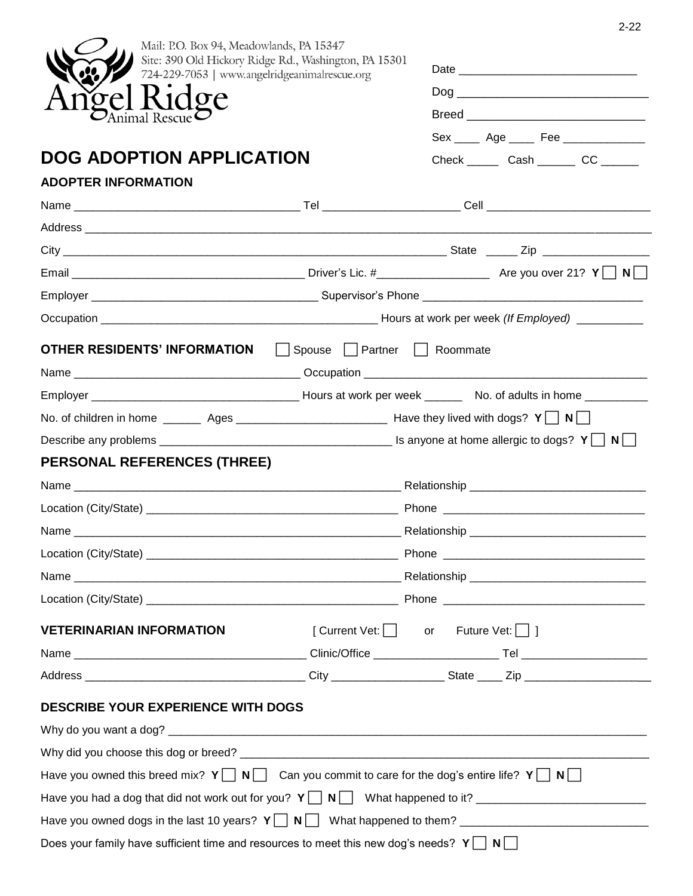| Mail: P.O. Box 94, Meadowlands, PA 15347                                                                                                                                |  |                                                                                  |  |
|-------------------------------------------------------------------------------------------------------------------------------------------------------------------------|--|----------------------------------------------------------------------------------|--|
| Site: 390 Old Hickory Ridge Rd., Washington, PA 15301<br>724-229-7053   www.angelridgeanimalrescue.org<br>gel Ridge<br>Animal Rescue<br><b>DOG ADOPTION APPLICATION</b> |  |                                                                                  |  |
|                                                                                                                                                                         |  |                                                                                  |  |
|                                                                                                                                                                         |  |                                                                                  |  |
|                                                                                                                                                                         |  | Sex _____ Age _____ Fee ______________                                           |  |
|                                                                                                                                                                         |  | Check _________ Cash __________ CC _______                                       |  |
| <b>ADOPTER INFORMATION</b>                                                                                                                                              |  |                                                                                  |  |
|                                                                                                                                                                         |  |                                                                                  |  |
|                                                                                                                                                                         |  |                                                                                  |  |
|                                                                                                                                                                         |  |                                                                                  |  |
|                                                                                                                                                                         |  |                                                                                  |  |
|                                                                                                                                                                         |  |                                                                                  |  |
|                                                                                                                                                                         |  |                                                                                  |  |
| <b>OTHER RESIDENTS' INFORMATION</b> □ Spouse □ Partner □ Roommate                                                                                                       |  |                                                                                  |  |
|                                                                                                                                                                         |  |                                                                                  |  |
|                                                                                                                                                                         |  |                                                                                  |  |
|                                                                                                                                                                         |  |                                                                                  |  |
|                                                                                                                                                                         |  |                                                                                  |  |
| <b>PERSONAL REFERENCES (THREE)</b>                                                                                                                                      |  |                                                                                  |  |
|                                                                                                                                                                         |  |                                                                                  |  |
|                                                                                                                                                                         |  |                                                                                  |  |
|                                                                                                                                                                         |  |                                                                                  |  |
|                                                                                                                                                                         |  |                                                                                  |  |
|                                                                                                                                                                         |  |                                                                                  |  |
|                                                                                                                                                                         |  |                                                                                  |  |
| <b>VETERINARIAN INFORMATION</b>                                                                                                                                         |  | $\lceil$ Current Vet: $\lceil \cdot \rceil$ or Future Vet: $\lceil \cdot \rceil$ |  |
|                                                                                                                                                                         |  |                                                                                  |  |
|                                                                                                                                                                         |  |                                                                                  |  |
| <b>DESCRIBE YOUR EXPERIENCE WITH DOGS</b>                                                                                                                               |  |                                                                                  |  |
|                                                                                                                                                                         |  |                                                                                  |  |
|                                                                                                                                                                         |  |                                                                                  |  |
|                                                                                                                                                                         |  |                                                                                  |  |
| Have you owned this breed mix? $Y \cap N$ Can you commit to care for the dog's entire life? $Y \cap N$                                                                  |  |                                                                                  |  |
|                                                                                                                                                                         |  |                                                                                  |  |
|                                                                                                                                                                         |  |                                                                                  |  |

2-22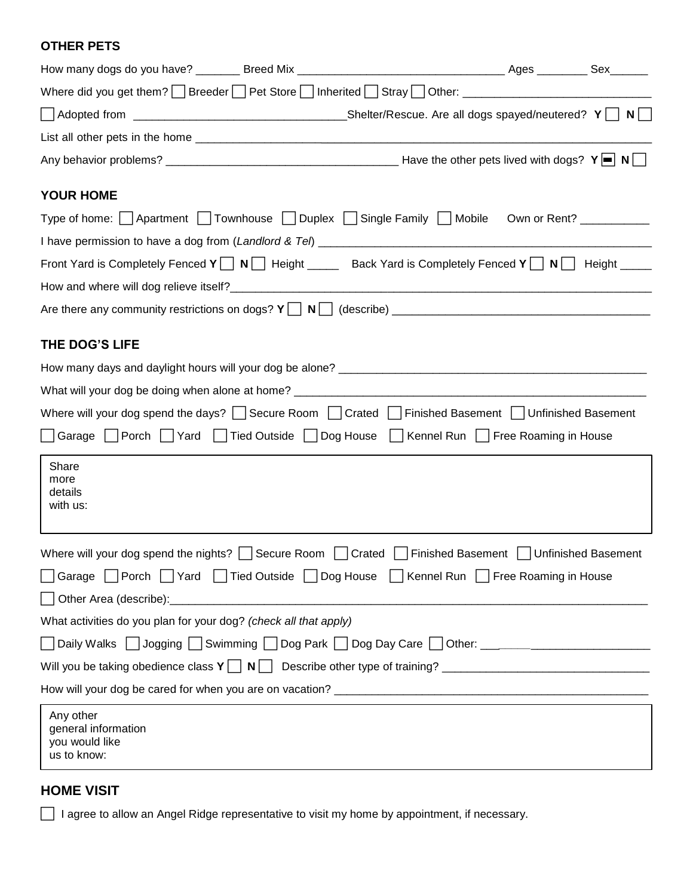#### **OTHER PETS**

| Where did you get them? Breeder Pet Store Inherited Stray Other: ___________________________________          |  |  |  |  |
|---------------------------------------------------------------------------------------------------------------|--|--|--|--|
|                                                                                                               |  |  |  |  |
|                                                                                                               |  |  |  |  |
|                                                                                                               |  |  |  |  |
| <b>YOUR HOME</b>                                                                                              |  |  |  |  |
| Type of home:     Apartment     Townhouse     Duplex     Single Family     Mobile Own or Rent? __________     |  |  |  |  |
|                                                                                                               |  |  |  |  |
| Front Yard is Completely Fenced $Y \cap N$ Height _____ Back Yard is Completely Fenced $Y \cap N$ Height ____ |  |  |  |  |
|                                                                                                               |  |  |  |  |
|                                                                                                               |  |  |  |  |
| THE DOG'S LIFE                                                                                                |  |  |  |  |
|                                                                                                               |  |  |  |  |
|                                                                                                               |  |  |  |  |
| Where will your dog spend the days? Secure Room Crated Finished Basement JUnfinished Basement                 |  |  |  |  |
| Sarage   Porch   Yard   Tied Outside   Dog House   Kennel Run   Free Roaming in House                         |  |  |  |  |
| Share<br>more<br>details<br>with us:                                                                          |  |  |  |  |
| Where will your dog spend the nights?   Secure Room   Crated   Finished Basement   Unfinished Basement        |  |  |  |  |
| Garage Porch Yard Tied Outside Dog House Rennel Run Pree Roaming in House                                     |  |  |  |  |
|                                                                                                               |  |  |  |  |
| What activities do you plan for your dog? (check all that apply)                                              |  |  |  |  |
| □ Daily Walks □ Jogging □ Swimming □ Dog Park □ Dog Day Care □ Other: _____________________________           |  |  |  |  |
|                                                                                                               |  |  |  |  |
|                                                                                                               |  |  |  |  |
| Any other<br>general information<br>you would like<br>us to know:                                             |  |  |  |  |

### **HOME VISIT**

□ I agree to allow an Angel Ridge representative to visit my home by appointment, if necessary.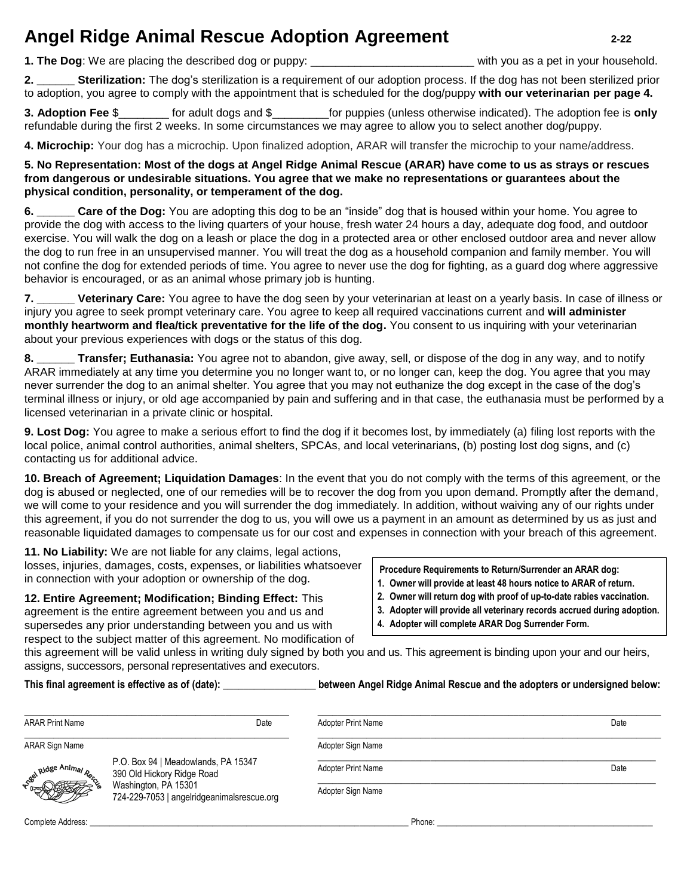# **Angel Ridge Animal Rescue Adoption Agreement 2-22**

**1. The Dog**: We are placing the described dog or puppy: \_\_\_\_\_\_\_\_\_\_\_\_\_\_\_\_\_\_\_\_\_\_\_\_\_\_ with you as a pet in your household.

**2. \_\_\_\_\_\_ Sterilization:** The dog's sterilization is a requirement of our adoption process. If the dog has not been sterilized prior to adoption, you agree to comply with the appointment that is scheduled for the dog/puppy **with our veterinarian per page 4.** 

**3. Adoption Fee** \$\_\_\_\_\_\_\_\_ for adult dogs and \$\_\_\_\_\_\_\_\_\_for puppies (unless otherwise indicated). The adoption fee is **only** refundable during the first 2 weeks. In some circumstances we may agree to allow you to select another dog/puppy.

**4. Microchip:** Your dog has a microchip. Upon finalized adoption, ARAR will transfer the microchip to your name/address.

**5. No Representation: Most of the dogs at Angel Ridge Animal Rescue (ARAR) have come to us as strays or rescues from dangerous or undesirable situations. You agree that we make no representations or guarantees about the physical condition, personality, or temperament of the dog.**

**6. \_\_\_\_\_\_ Care of the Dog:** You are adopting this dog to be an "inside" dog that is housed within your home. You agree to provide the dog with access to the living quarters of your house, fresh water 24 hours a day, adequate dog food, and outdoor exercise. You will walk the dog on a leash or place the dog in a protected area or other enclosed outdoor area and never allow the dog to run free in an unsupervised manner. You will treat the dog as a household companion and family member. You will not confine the dog for extended periods of time. You agree to never use the dog for fighting, as a guard dog where aggressive behavior is encouraged, or as an animal whose primary job is hunting.

**7. \_\_\_\_\_\_ Veterinary Care:** You agree to have the dog seen by your veterinarian at least on a yearly basis. In case of illness or injury you agree to seek prompt veterinary care. You agree to keep all required vaccinations current and **will administer monthly heartworm and flea/tick preventative for the life of the dog.** You consent to us inquiring with your veterinarian about your previous experiences with dogs or the status of this dog.

**8. \_\_\_\_\_\_ Transfer; Euthanasia:** You agree not to abandon, give away, sell, or dispose of the dog in any way, and to notify ARAR immediately at any time you determine you no longer want to, or no longer can, keep the dog. You agree that you may never surrender the dog to an animal shelter. You agree that you may not euthanize the dog except in the case of the dog's terminal illness or injury, or old age accompanied by pain and suffering and in that case, the euthanasia must be performed by a licensed veterinarian in a private clinic or hospital.

**9. Lost Dog:** You agree to make a serious effort to find the dog if it becomes lost, by immediately (a) filing lost reports with the local police, animal control authorities, animal shelters, SPCAs, and local veterinarians, (b) posting lost dog signs, and (c) contacting us for additional advice.

**10. Breach of Agreement; Liquidation Damages**: In the event that you do not comply with the terms of this agreement, or the dog is abused or neglected, one of our remedies will be to recover the dog from you upon demand. Promptly after the demand, we will come to your residence and you will surrender the dog immediately. In addition, without waiving any of our rights under this agreement, if you do not surrender the dog to us, you will owe us a payment in an amount as determined by us as just and reasonable liquidated damages to compensate us for our cost and expenses in connection with your breach of this agreement.

**11. No Liability:** We are not liable for any claims, legal actions, losses, injuries, damages, costs, expenses, or liabilities whatsoever in connection with your adoption or ownership of the dog.

**12. Entire Agreement; Modification; Binding Effect:** This agreement is the entire agreement between you and us and supersedes any prior understanding between you and us with respect to the subject matter of this agreement. No modification of

#### **Procedure Requirements to Return/Surrender an ARAR dog:**

- **1. Owner will provide at least 48 hours notice to ARAR of return.**
- **2. Owner will return dog with proof of up-to-date rabies vaccination.**
- **3. Adopter will provide all veterinary records accrued during adoption.**
- **4. Adopter will complete ARAR Dog Surrender Form.**

this agreement will be valid unless in writing duly signed by both you and us. This agreement is binding upon your and our heirs, assigns, successors, personal representatives and executors.

#### **This final agreement is effective as of (date): \_\_\_\_\_\_\_\_\_\_\_\_\_\_\_\_\_\_ between Angel Ridge Animal Rescue and the adopters or undersigned below:**

| <b>ARAR Print Name</b> | Date                                                               | <b>Adopter Print Name</b> | Date |
|------------------------|--------------------------------------------------------------------|---------------------------|------|
| ARAR Sign Name         |                                                                    | Adopter Sign Name         |      |
| See Hidge Animar       | P.O. Box 94   Meadowlands, PA 15347<br>390 Old Hickory Ridge Road  | <b>Adopter Print Name</b> | Date |
|                        | Washington, PA 15301<br>724-229-7053   angelridgeanimalsrescue.org | Adopter Sign Name         |      |
| Complete Address:      |                                                                    | Phone:                    |      |